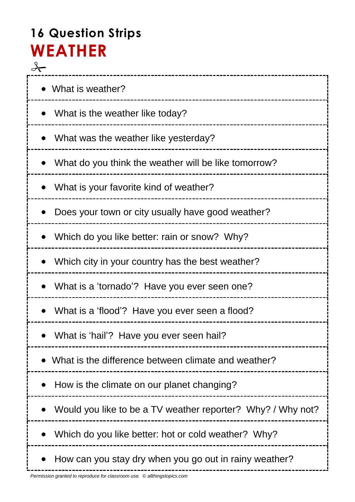# **16 Question Strips WEATHER**  $\rightarrow$

| • What is weather?                                          |
|-------------------------------------------------------------|
| What is the weather like today?                             |
| What was the weather like yesterday?<br>$\bullet$           |
| What do you think the weather will be like tomorrow?        |
| What is your favorite kind of weather?<br>$\bullet$         |
| Does your town or city usually have good weather?           |
| Which do you like better: rain or snow? Why?                |
| Which city in your country has the best weather?            |
| What is a 'tornado'? Have you ever seen one?                |
| What is a 'flood'? Have you ever seen a flood?              |
| What is 'hail'? Have you ever seen hail?                    |
| What is the difference between climate and weather?         |
| How is the climate on our planet changing?                  |
| Would you like to be a TV weather reporter? Why? / Why not? |
| Which do you like better: hot or cold weather? Why?         |
| How can you stay dry when you go out in rainy weather?      |

-----------------